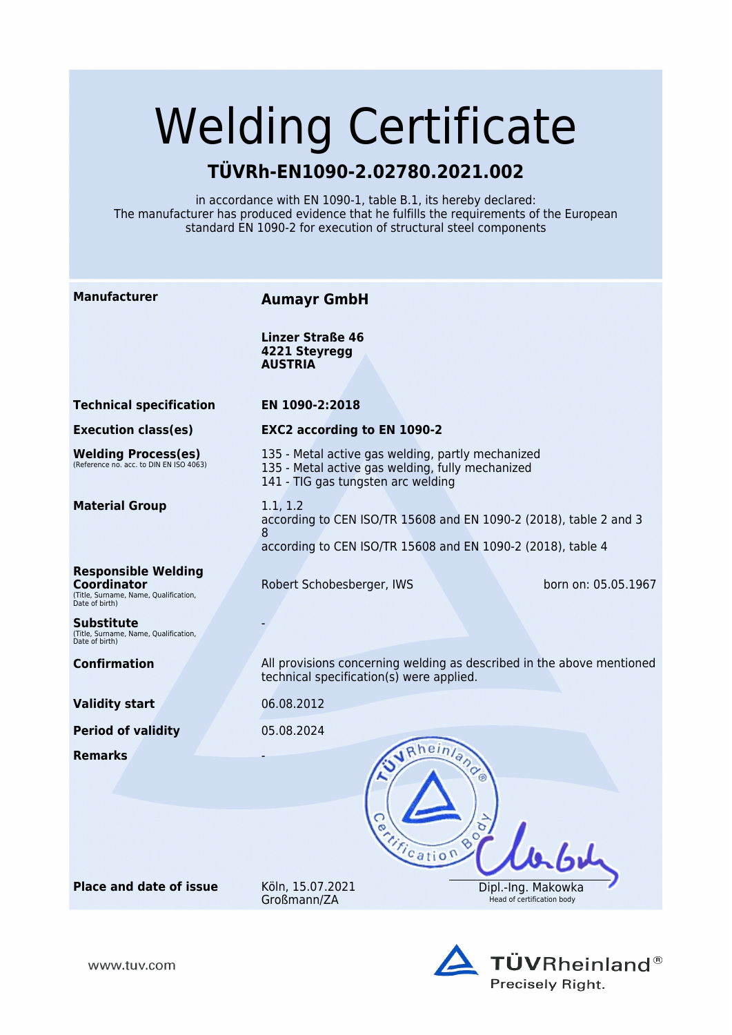# Welding Certificate

## **TÜVRh-EN1090-2.02780.2021.002**

in accordance with EN 1090-1, table B.1, its hereby declared: The manufacturer has produced evidence that he fulfills the requirements of the European standard EN 1090-2 for execution of structural steel components

| <b>Manufacturer</b>                                                                                  | <b>Aumayr GmbH</b>                                                                                                                                |                                                  |
|------------------------------------------------------------------------------------------------------|---------------------------------------------------------------------------------------------------------------------------------------------------|--------------------------------------------------|
|                                                                                                      | Linzer Straße 46<br>4221 Steyregg<br><b>AUSTRIA</b>                                                                                               |                                                  |
| <b>Technical specification</b>                                                                       | EN 1090-2:2018                                                                                                                                    |                                                  |
| <b>Execution class(es)</b>                                                                           | <b>EXC2 according to EN 1090-2</b>                                                                                                                |                                                  |
| <b>Welding Process(es)</b><br>(Reference no. acc. to DIN EN ISO 4063)                                | 135 - Metal active gas welding, partly mechanized<br>135 - Metal active gas welding, fully mechanized<br>141 - TIG gas tungsten arc welding       |                                                  |
| <b>Material Group</b>                                                                                | 1.1, 1.2<br>according to CEN ISO/TR 15608 and EN 1090-2 (2018), table 2 and 3<br>8<br>according to CEN ISO/TR 15608 and EN 1090-2 (2018), table 4 |                                                  |
| <b>Responsible Welding</b><br>Coordinator<br>(Title, Surname, Name, Qualification,<br>Date of birth) | Robert Schobesberger, IWS                                                                                                                         | born on: 05.05.1967                              |
| Substitute<br>(Title, Surname, Name, Qualification,<br>Date of birth)                                |                                                                                                                                                   |                                                  |
| <b>Confirmation</b>                                                                                  | All provisions concerning welding as described in the above mentioned<br>technical specification(s) were applied.                                 |                                                  |
| <b>Validity start</b>                                                                                | 06.08.2012                                                                                                                                        |                                                  |
| <b>Period of validity</b>                                                                            | 05.08.2024                                                                                                                                        |                                                  |
| <b>Remarks</b>                                                                                       | Rheinland<br>Tirication                                                                                                                           | $\circ_{\sigma}$                                 |
| <b>Place and date of issue</b>                                                                       | Köln, 15.07.2021<br>Großmann/ZA                                                                                                                   | Dipl.-Ing. Makowka<br>Head of certification body |



www.tuv.com